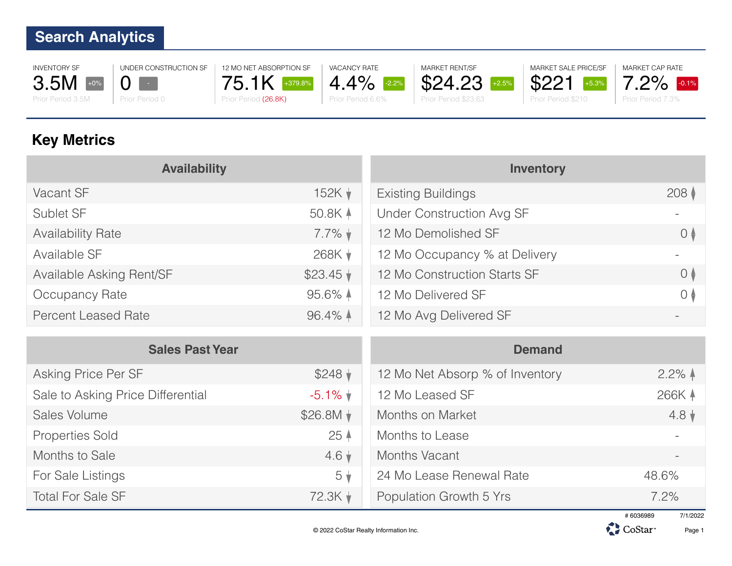INVENTORY SF 3.5M  $+0\%$ 

UNDER CONSTRUCTION SF  $0 \mathbf{V}$ 

Prior Period 0

Prior Period 3.5M



12 MO NET ABSORPTION SF

VACANCY RATE 4.4% -2.2% Prior Period 6.6%







MARKET CAP RATE

**Key Metrics**

| <b>Availability</b>        |                      | <b>Inventory</b>                 |                               |
|----------------------------|----------------------|----------------------------------|-------------------------------|
| Vacant SF                  | 152K $\downarrow$    | <b>Existing Buildings</b>        | 208 <sup>†</sup>              |
| Sublet SF                  | 50.8K A              | <b>Under Construction Avg SF</b> |                               |
| <b>Availability Rate</b>   | $7.7\%$ $\star$      | 12 Mo Demolished SF              | $\theta$                      |
| Available SF               | 268K V               | 12 Mo Occupancy % at Delivery    |                               |
| Available Asking Rent/SF   | $$23.45 \;$          | 12 Mo Construction Starts SF     | $\overline{0}$ $\overline{)}$ |
| Occupancy Rate             | $95.6\%$ $\triangle$ | 12 Mo Delivered SF               | $\overline{O}$ $\overline{O}$ |
| <b>Percent Leased Rate</b> | $96.4\%$ $\uparrow$  | 12 Mo Avg Delivered SF           |                               |

| <b>Sales Past Year</b>            |                   | <b>Demand</b>                   |                    |
|-----------------------------------|-------------------|---------------------------------|--------------------|
| Asking Price Per SF               | $$248$ $\sqrt{ }$ | 12 Mo Net Absorp % of Inventory | $2.2\%$ $\uparrow$ |
| Sale to Asking Price Differential | $-5.1\%$ $\star$  | 12 Mo Leased SF                 | 266K 4             |
| Sales Volume                      |                   | Months on Market                | $4.8 \;$           |
| <b>Properties Sold</b>            | 25 <sub>4</sub>   | Months to Lease                 |                    |
| Months to Sale                    | $4.6\,\mathrm{*}$ | Months Vacant                   |                    |
| For Sale Listings                 | $5\sqrt{ }$       | 24 Mo Lease Renewal Rate        | 48.6%              |
| <b>Total For Sale SF</b>          | $72.3K +$         | Population Growth 5 Yrs         | 7.2%               |

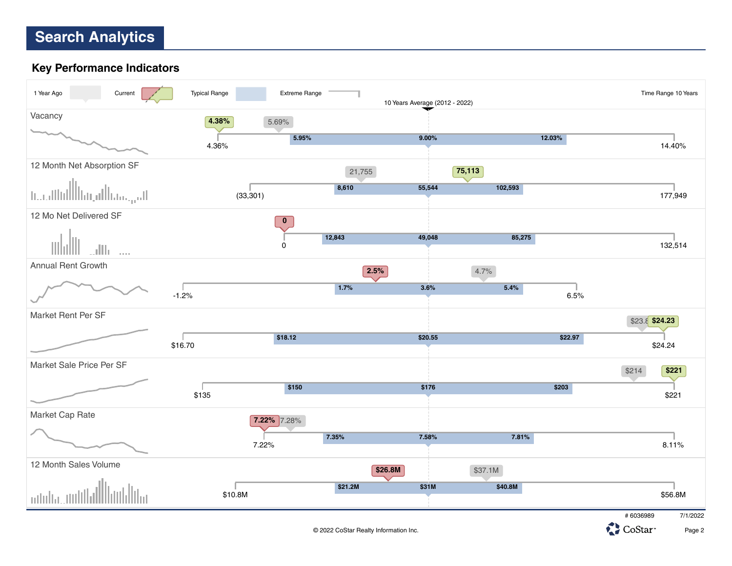#### **Key Performance Indicators**





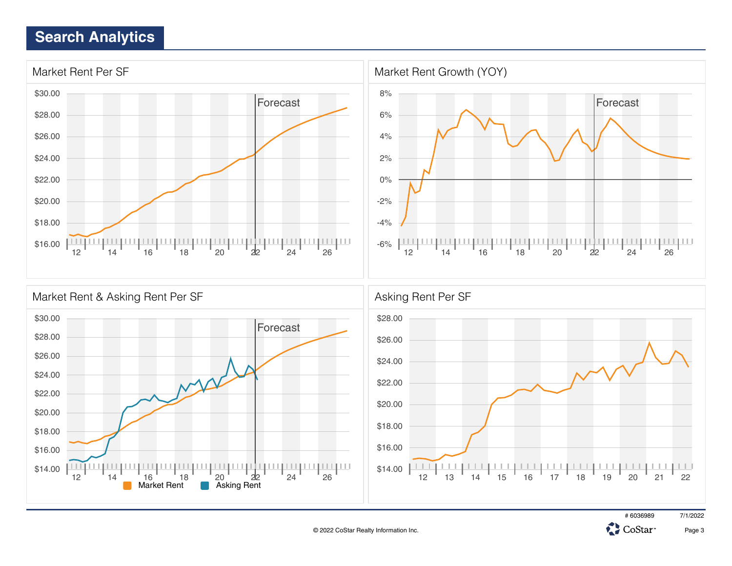





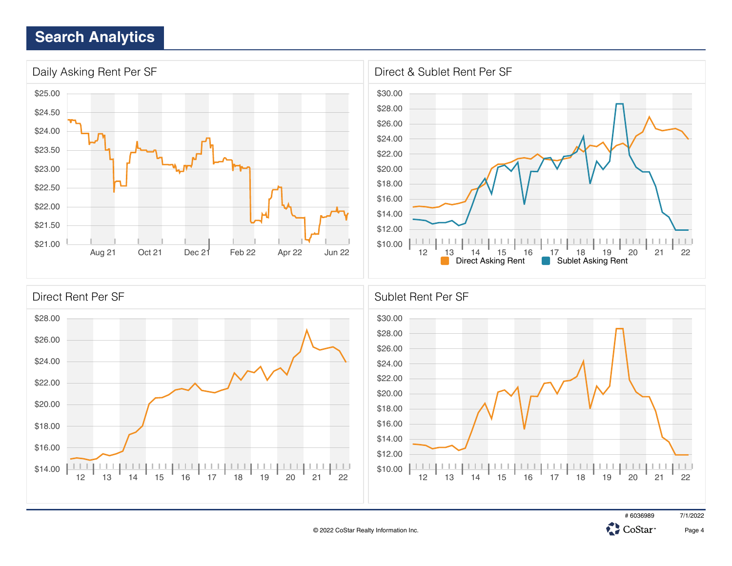

# 6036989 7/1/2022

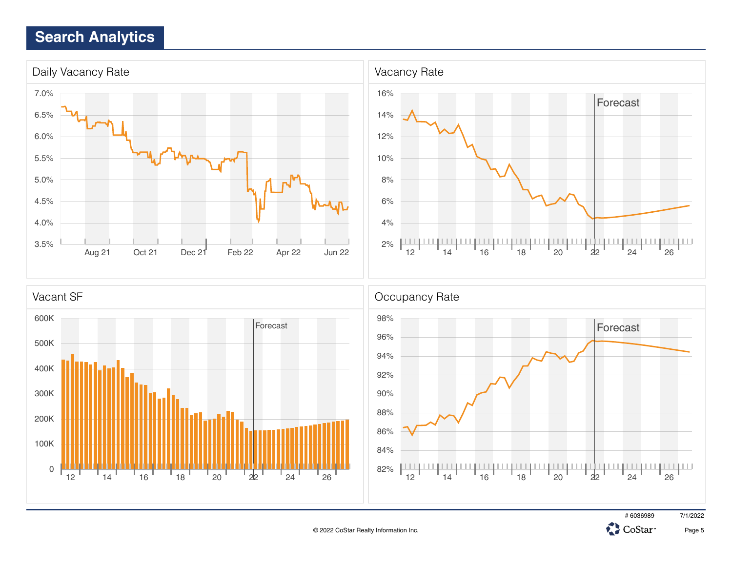



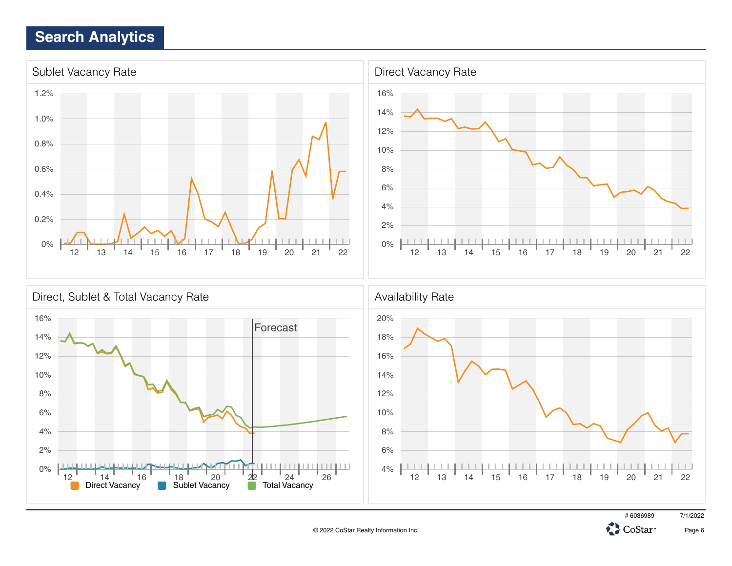

Direct Vacancy **Sublet Vacancy** Total Vacancy

# 6036989 7/1/2022

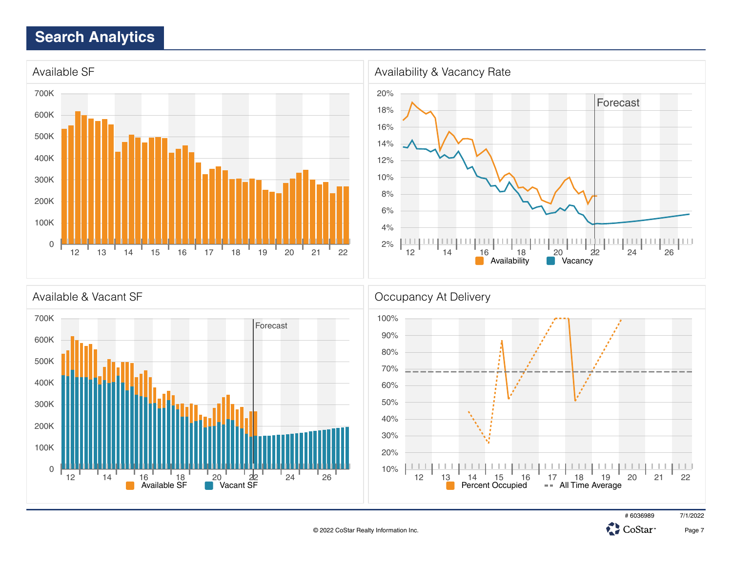

12  $14$   $16$   $18$   $20$   $22$   $24$   $24$   $26$ <br>
Available SF Vacant SF





12 13 14 15 16 17 18 19 20 21 22

Percent Occupied - All Time Average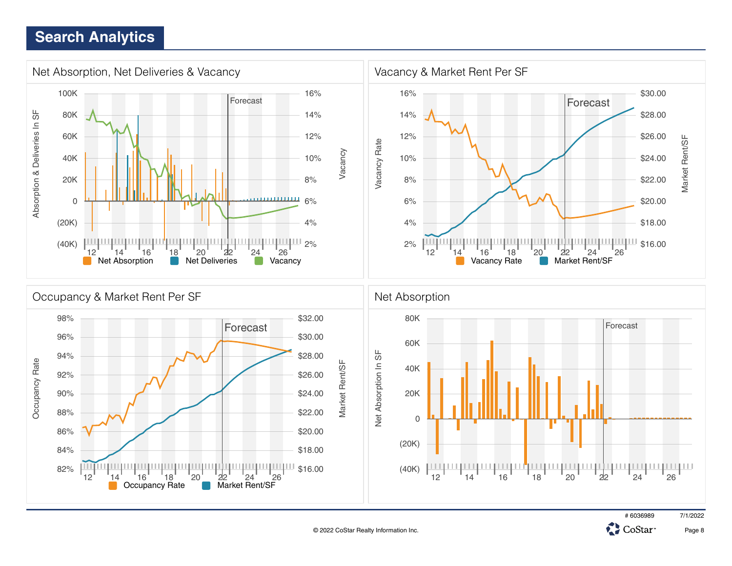





**CH**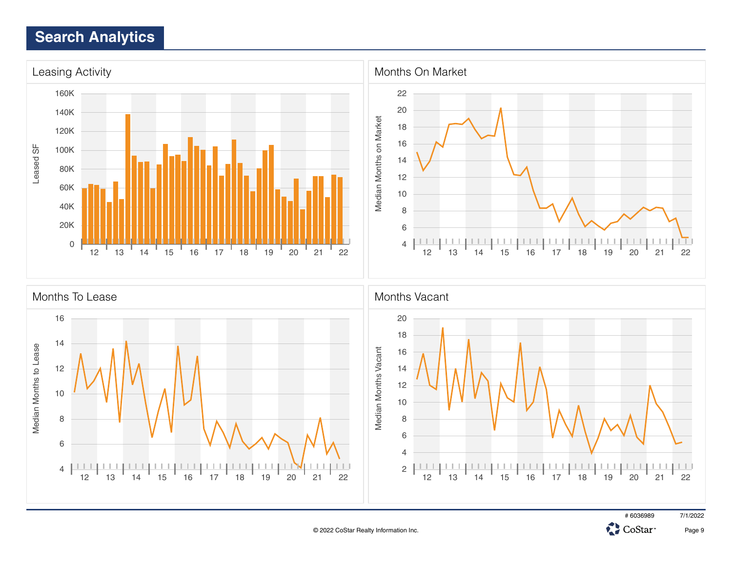



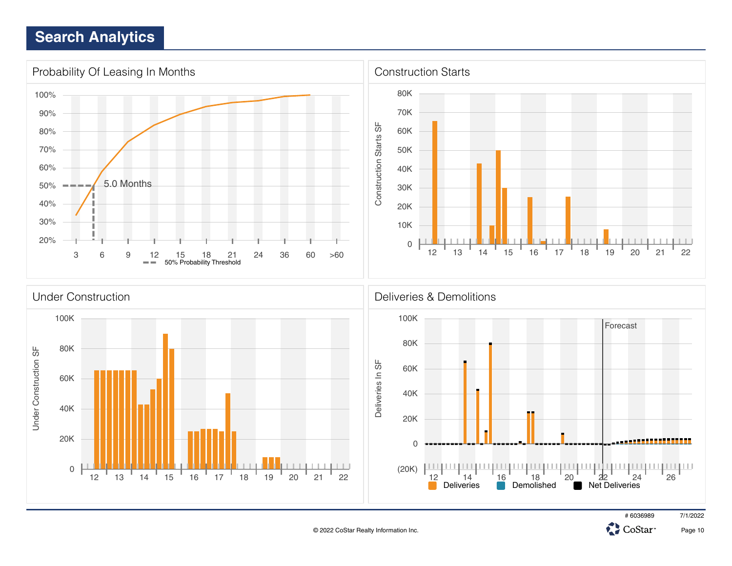





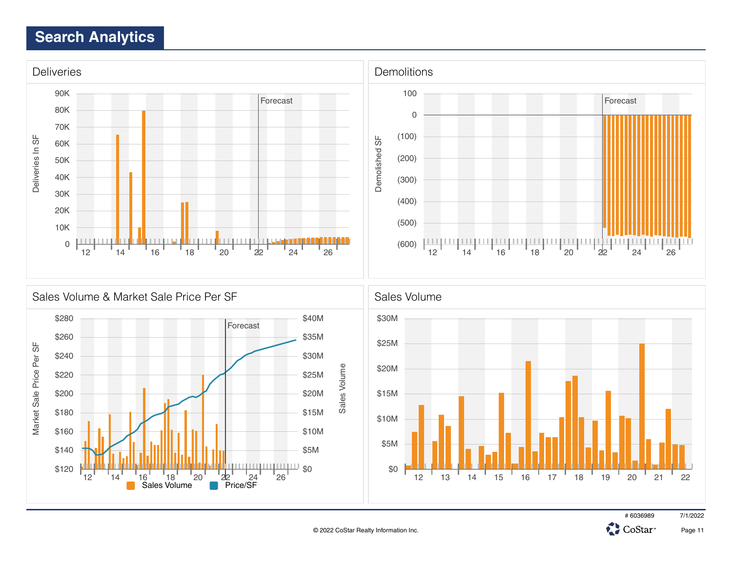



# 6036989 7/1/2022

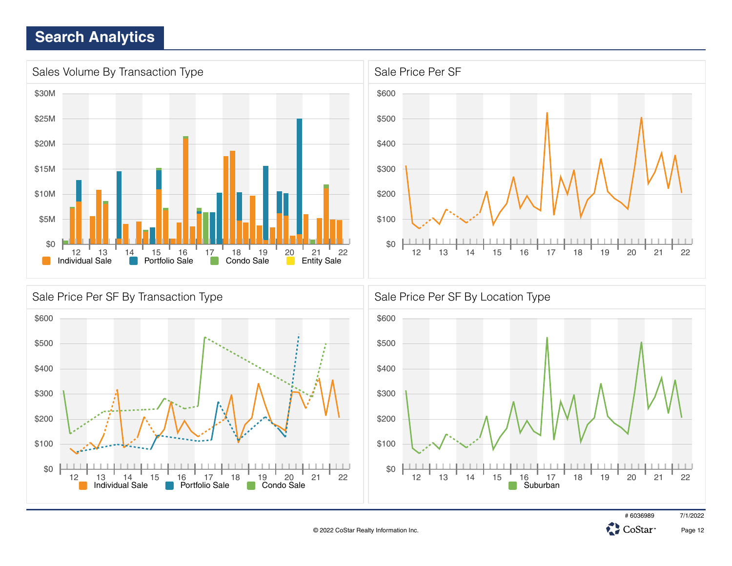





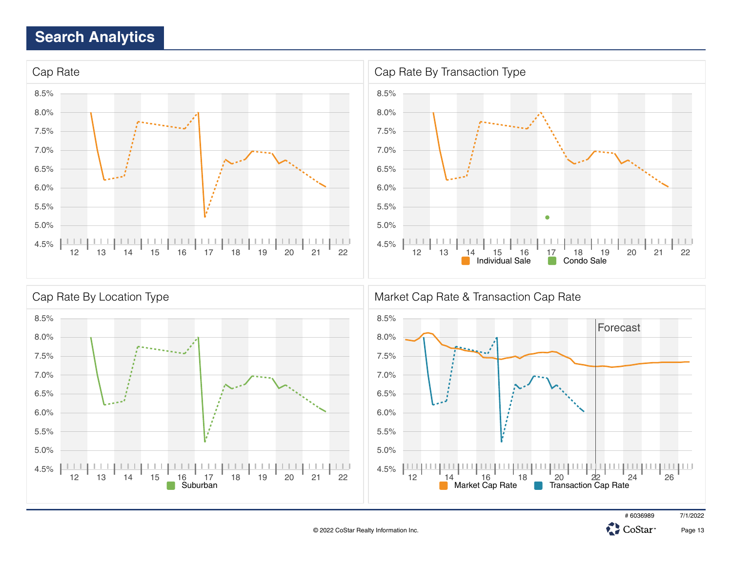



© 2022 CoStar Realty Information Inc.



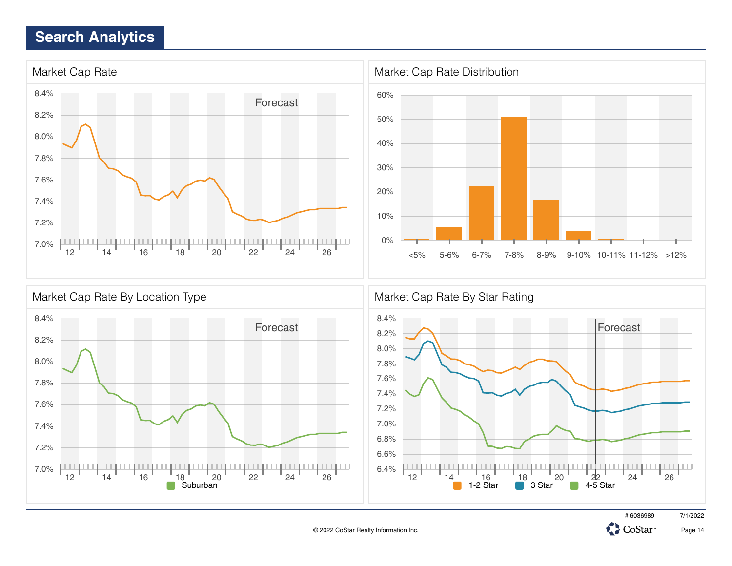





# 6036989 7/1/2022

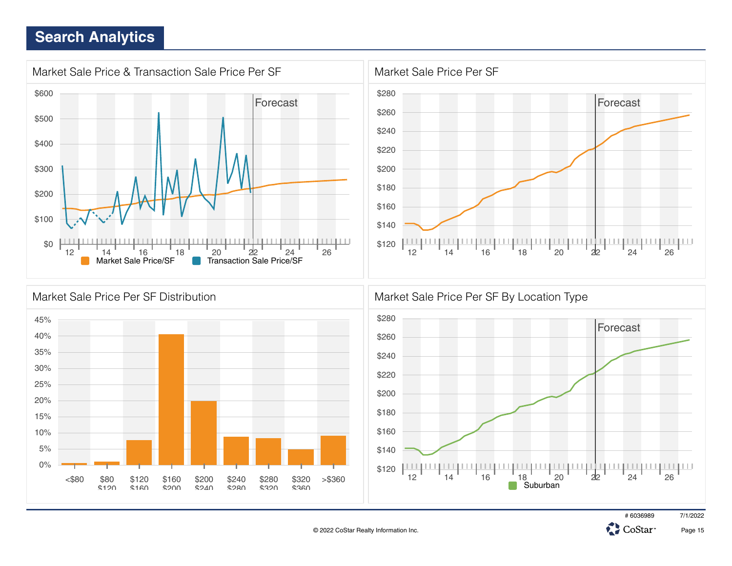







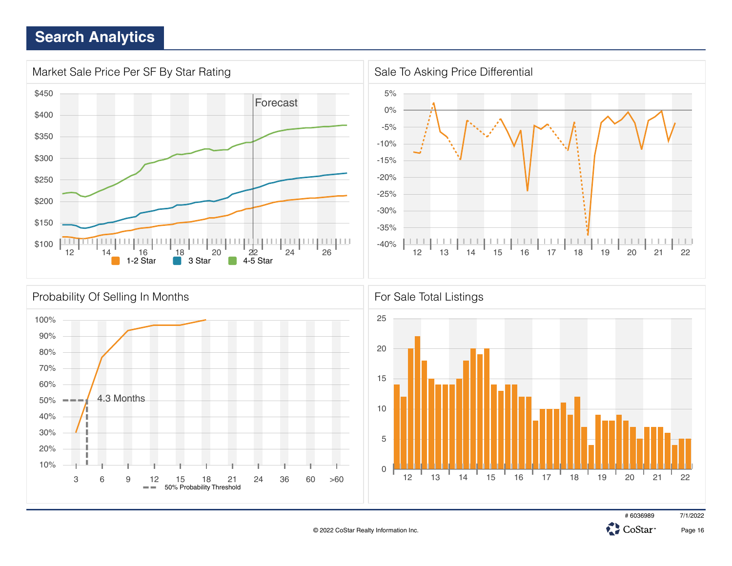

3 6 9 12 15 18 21 24 36 60 >60

50% Probability Threshold





12 13 14 15 16 17 18 19 20 21 22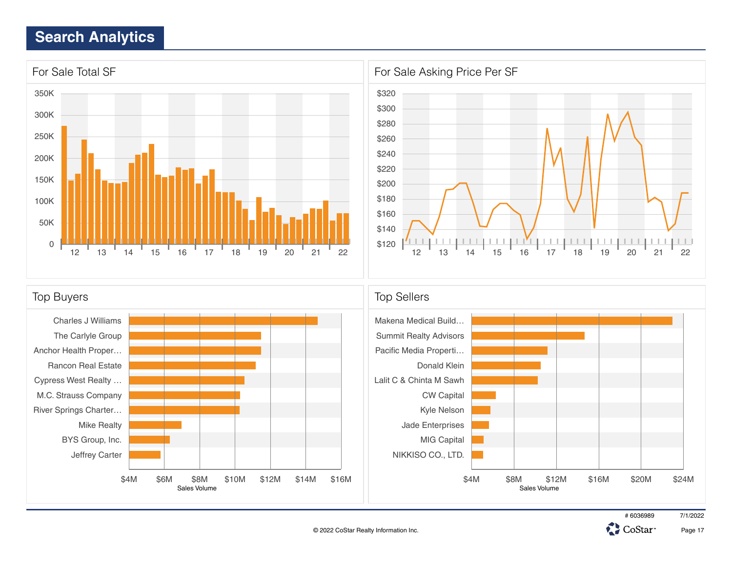



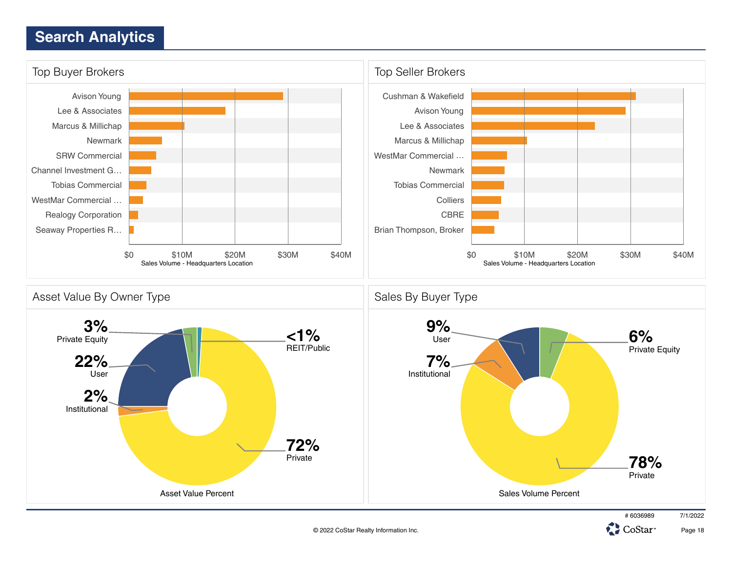

© 2022 CoStar Realty Information Inc.

Page 18

CoStar<sup>®</sup>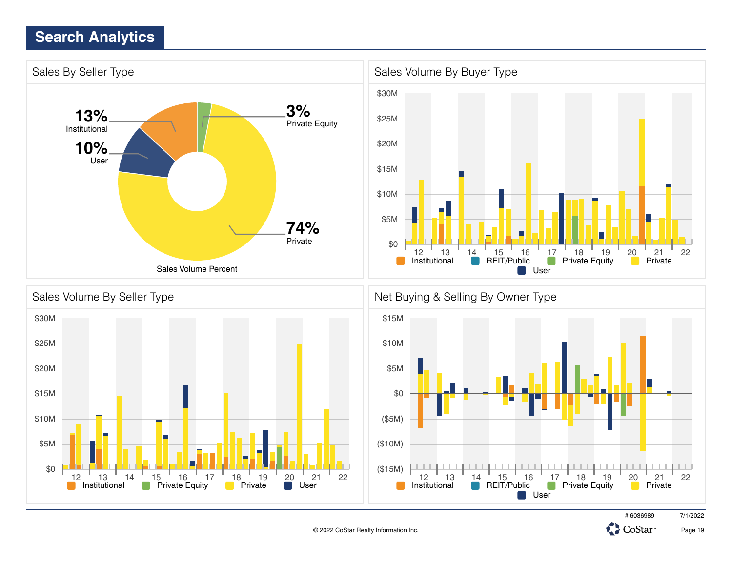\$0

12 13 14 15 16 17 18 19 <u>2</u>0 21 22



© 2022 CoStar Realty Information Inc.

(\$15M)

 $11111111$ 

Institutional **Private Equity Private Divide User** Institutional **PREIT/Public Private Equity Private** 

# 6036989 7/1/2022

CoStar<sup>®</sup>

12 13 <u>14</u> 15 16 <u>1</u>7 18 19 20 21 22

 $\Box$ 

**User** 

. . . . . . . . . . . . .

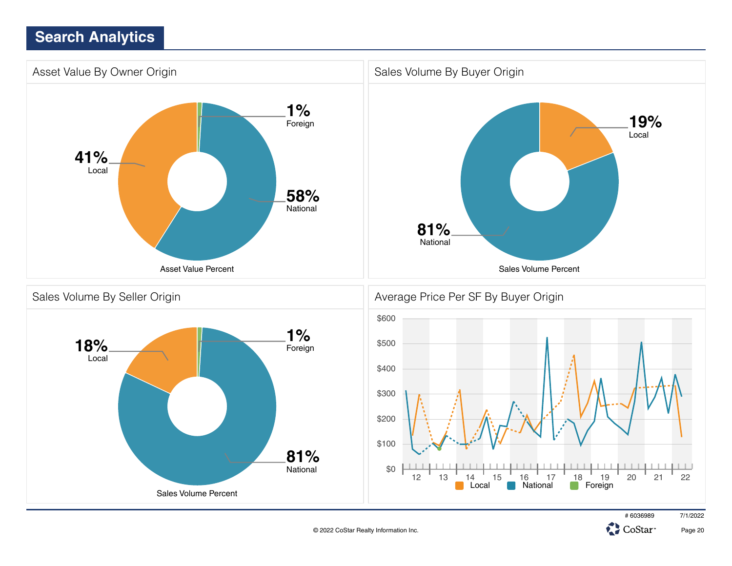

© 2022 CoStar Realty Information Inc.

Page 20

CoStar<sup>®</sup>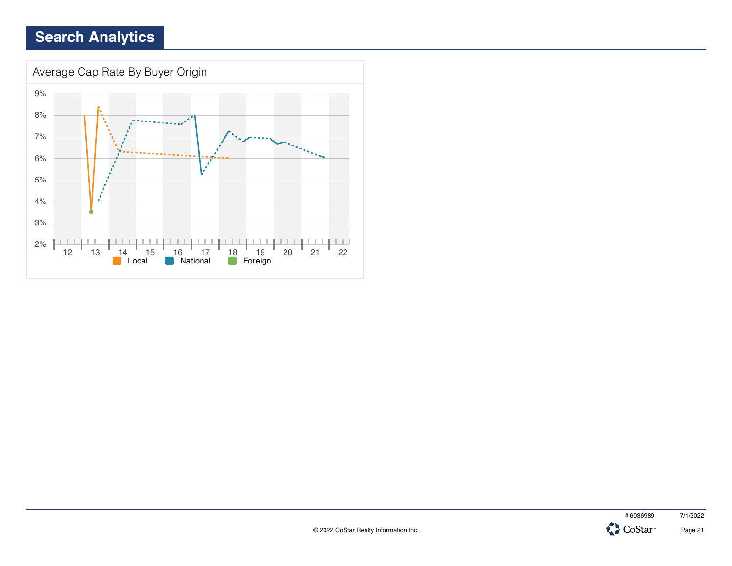